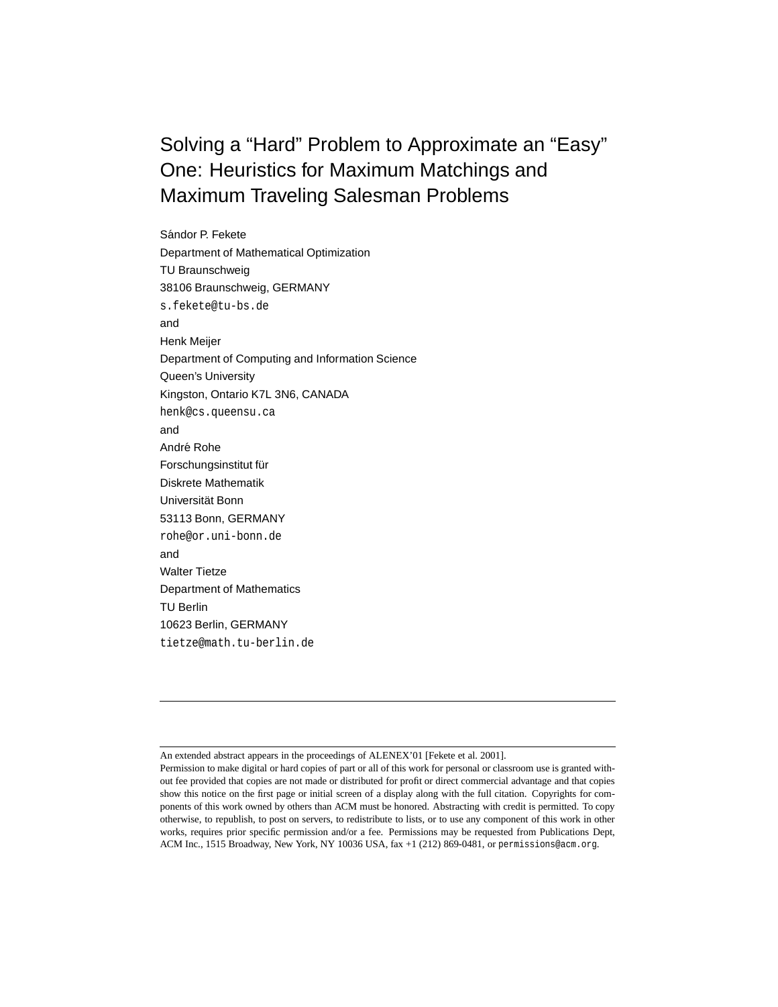# Solving a "Hard" Problem to Approximate an "Easy" One: Heuristics for Maximum Matchings and Maximum Traveling Salesman Problems

Sándor P. Fekete Department of Mathematical Optimization TU Braunschweig 38106 Braunschweig, GERMANY s.fekete@tu-bs.de and Henk Meijer Department of Computing and Information Science Queen's University Kingston, Ontario K7L 3N6, CANADA henk@cs.queensu.ca and André Rohe Forschungsinstitut für Diskrete Mathematik Universität Bonn 53113 Bonn, GERMANY rohe@or.uni-bonn.de and Walter Tietze Department of Mathematics TU Berlin 10623 Berlin, GERMANY tietze@math.tu-berlin.de

An extended abstract appears in the proceedings of ALENEX'01 [Fekete et al. 2001].

Permission to make digital or hard copies of part or all of this work for personal or classroom use is granted without fee provided that copies are not made or distributed for profit or direct commercial advantage and that copies show this notice on the first page or initial screen of a display along with the full citation. Copyrights for components of this work owned by others than ACM must be honored. Abstracting with credit is permitted. To copy otherwise, to republish, to post on servers, to redistribute to lists, or to use any component of this work in other works, requires prior specific permission and/or a fee. Permissions may be requested from Publications Dept, ACM Inc., 1515 Broadway, New York, NY 10036 USA, fax +1 (212) 869-0481, or permissions@acm.org.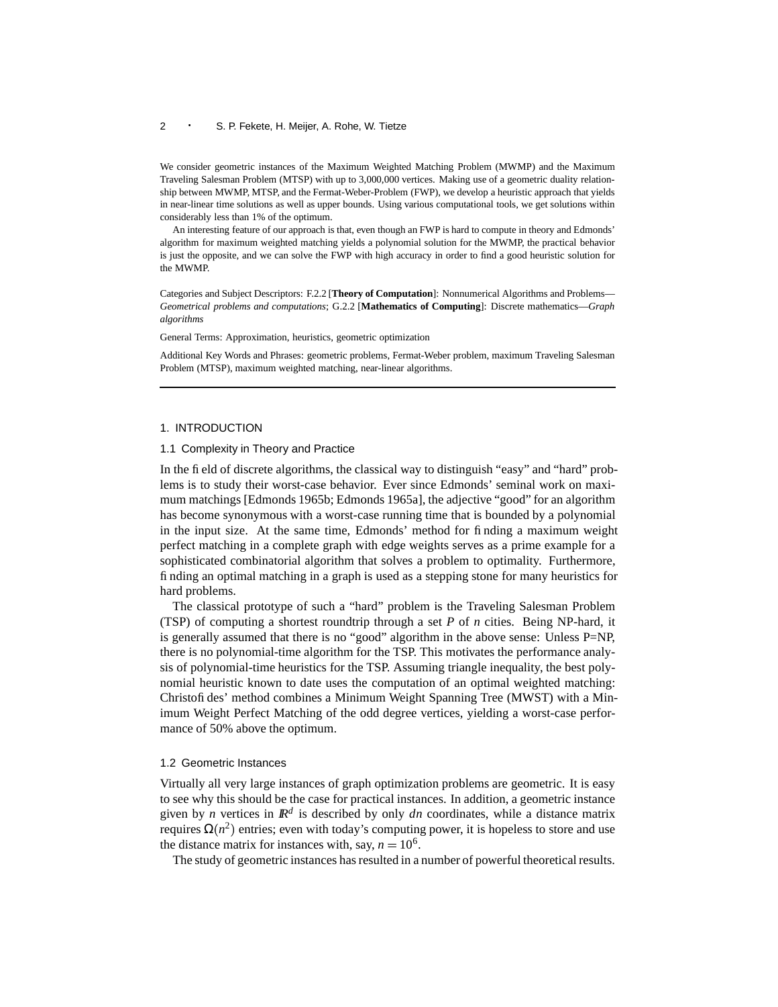We consider geometric instances of the Maximum Weighted Matching Problem (MWMP) and the Maximum Traveling Salesman Problem (MTSP) with up to 3,000,000 vertices. Making use of a geometric duality relationship between MWMP, MTSP, and the Fermat-Weber-Problem (FWP), we develop a heuristic approach that yields in near-linear time solutions as well as upper bounds. Using various computational tools, we get solutions within considerably less than 1% of the optimum.

An interesting feature of our approach is that, even though an FWP is hard to compute in theory and Edmonds' algorithm for maximum weighted matching yields a polynomial solution for the MWMP, the practical behavior is just the opposite, and we can solve the FWP with high accuracy in order to find a good heuristic solution for the MWMP.

Categories and Subject Descriptors: F.2.2 [**Theory of Computation**]: Nonnumerical Algorithms and Problems— *Geometrical problems and computations*; G.2.2 [**Mathematics of Computing**]: Discrete mathematics—*Graph algorithms*

General Terms: Approximation, heuristics, geometric optimization

Additional Key Words and Phrases: geometric problems, Fermat-Weber problem, maximum Traveling Salesman Problem (MTSP), maximum weighted matching, near-linear algorithms.

### 1. INTRODUCTION

#### 1.1 Complexity in Theory and Practice

In the field of discrete algorithms, the classical way to distinguish "easy" and "hard" problems is to study their worst-case behavior. Ever since Edmonds' seminal work on maximum matchings [Edmonds 1965b; Edmonds 1965a], the adjective "good" for an algorithm has become synonymous with a worst-case running time that is bounded by a polynomial in the input size. At the same time, Edmonds' method for finding a maximum weight perfect matching in a complete graph with edge weights serves as a prime example for a sophisticated combinatorial algorithm that solves a problem to optimality. Furthermore, finding an optimal matching in a graph is used as a stepping stone for many heuristics for hard problems.

The classical prototype of such a "hard" problem is the Traveling Salesman Problem (TSP) of computing a shortest roundtrip through a set *P* of *n* cities. Being NP-hard, it is generally assumed that there is no "good" algorithm in the above sense: Unless P=NP, there is no polynomial-time algorithm for the TSP. This motivates the performance analysis of polynomial-time heuristics for the TSP. Assuming triangle inequality, the best polynomial heuristic known to date uses the computation of an optimal weighted matching: Christofides' method combines a Minimum Weight Spanning Tree (MWST) with a Minimum Weight Perfect Matching of the odd degree vertices, yielding a worst-case performance of 50% above the optimum.

#### 1.2 Geometric Instances

Virtually all very large instances of graph optimization problems are geometric. It is easy to see why this should be the case for practical instances. In addition, a geometric instance given by *n* vertices in  $\mathbb{R}^d$  is described by only *dn* coordinates, while a distance matrix requires  $\Omega(n^2)$  entries; even with today's computing power, it is hopeless to store and use the distance matrix for instances with, say,  $n = 10^6$ .

The study of geometric instances has resulted in a number of powerful theoretical results.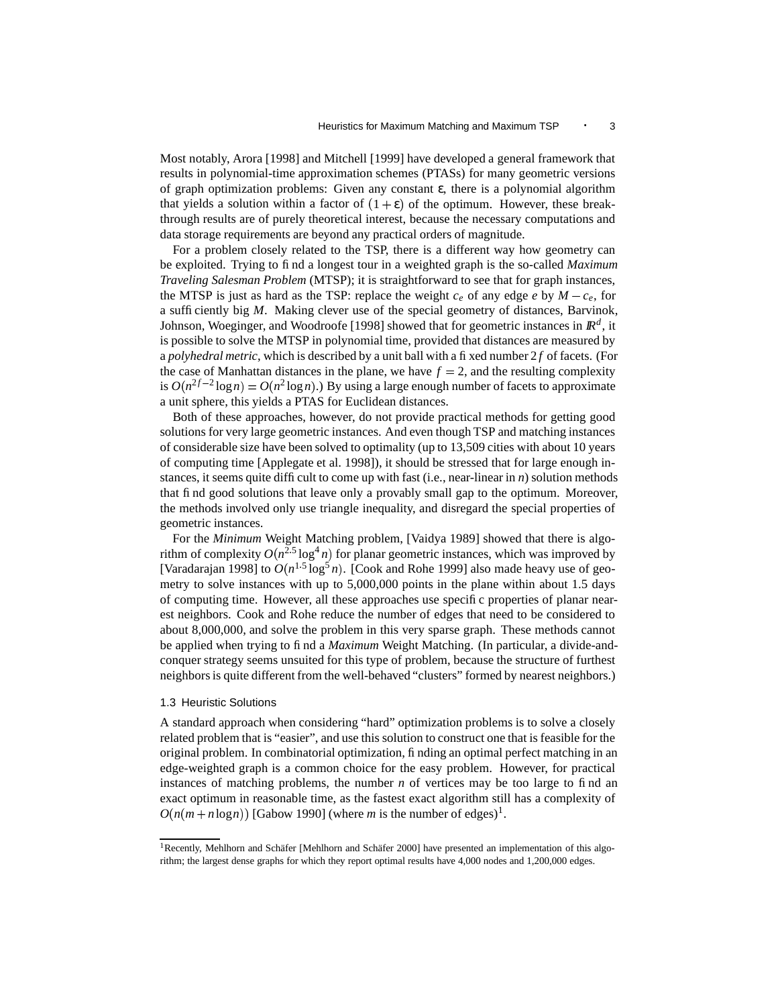Most notably, Arora [1998] and Mitchell [1999] have developed a general framework that results in polynomial-time approximation schemes (PTASs) for many geometric versions of graph optimization problems: Given any constant  $\varepsilon$ , there is a polynomial algorithm that yields a solution within a factor of  $(1 + \varepsilon)$  of the optimum. However, these breakthrough results are of purely theoretical interest, because the necessary computations and data storage requirements are beyond any practical orders of magnitude.

For a problem closely related to the TSP, there is a different way how geometry can be exploited. Trying to find a longest tour in a weighted graph is the so-called *Maximum Traveling Salesman Problem* (MTSP); it is straightforward to see that for graph instances, the MTSP is just as hard as the TSP: replace the weight  $c_e$  of any edge *e* by  $M - c_e$ , for a sufficiently big *M*. Making clever use of the special geometry of distances, Barvinok, Johnson, Woeginger, and Woodroofe [1998] showed that for geometric instances in  $\mathbb{R}^d$ , it is possible to solve the MTSP in polynomial time, provided that distances are measured by a *polyhedral metric*, which is described by a unit ball with a fixed number  $2f$  of facets. (For the case of Manhattan distances in the plane, we have  $f = 2$ , and the resulting complexity is  $O(n^{2f-2}\log n) = O(n^2\log n)$ .) By using a large enough number of facets to approximate a unit sphere, this yields a PTAS for Euclidean distances.

Both of these approaches, however, do not provide practical methods for getting good solutions for very large geometric instances. And even though TSP and matching instances of considerable size have been solved to optimality (up to 13,509 cities with about 10 years of computing time [Applegate et al. 1998]), it should be stressed that for large enough instances, it seems quite difficult to come up with fast (i.e., near-linear in *n*) solution methods that find good solutions that leave only a provably small gap to the optimum. Moreover, the methods involved only use triangle inequality, and disregard the special properties of geometric instances.

For the *Minimum* Weight Matching problem, [Vaidya 1989] showed that there is algorithm of complexity  $O(n^{2.5} \log^4 n)$  for planar geometric instances, which was improved by [Varadarajan 1998] to  $O(n^{1.5} \log^5 n)$ . [Cook and Rohe 1999] also made heavy use of geometry to solve instances with up to 5,000,000 points in the plane within about 1.5 days of computing time. However, all these approaches use specific properties of planar nearest neighbors. Cook and Rohe reduce the number of edges that need to be considered to about 8,000,000, and solve the problem in this very sparse graph. These methods cannot be applied when trying to find a *Maximum* Weight Matching. (In particular, a divide-andconquer strategy seems unsuited for this type of problem, because the structure of furthest neighbors is quite different from the well-behaved "clusters" formed by nearest neighbors.)

#### 1.3 Heuristic Solutions

A standard approach when considering "hard" optimization problems is to solve a closely related problem that is "easier", and use this solution to construct one that is feasible for the original problem. In combinatorial optimization, finding an optimal perfect matching in an edge-weighted graph is a common choice for the easy problem. However, for practical instances of matching problems, the number *n* of vertices may be too large to find an exact optimum in reasonable time, as the fastest exact algorithm still has a complexity of  $O(n(m+n\log n))$  [Gabow 1990] (where *m* is the number of edges)<sup>1</sup>.

<sup>&</sup>lt;sup>1</sup>Recently, Mehlhorn and Schäfer [Mehlhorn and Schäfer 2000] have presented an implementation of this algorithm; the largest dense graphs for which they report optimal results have 4,000 nodes and 1,200,000 edges.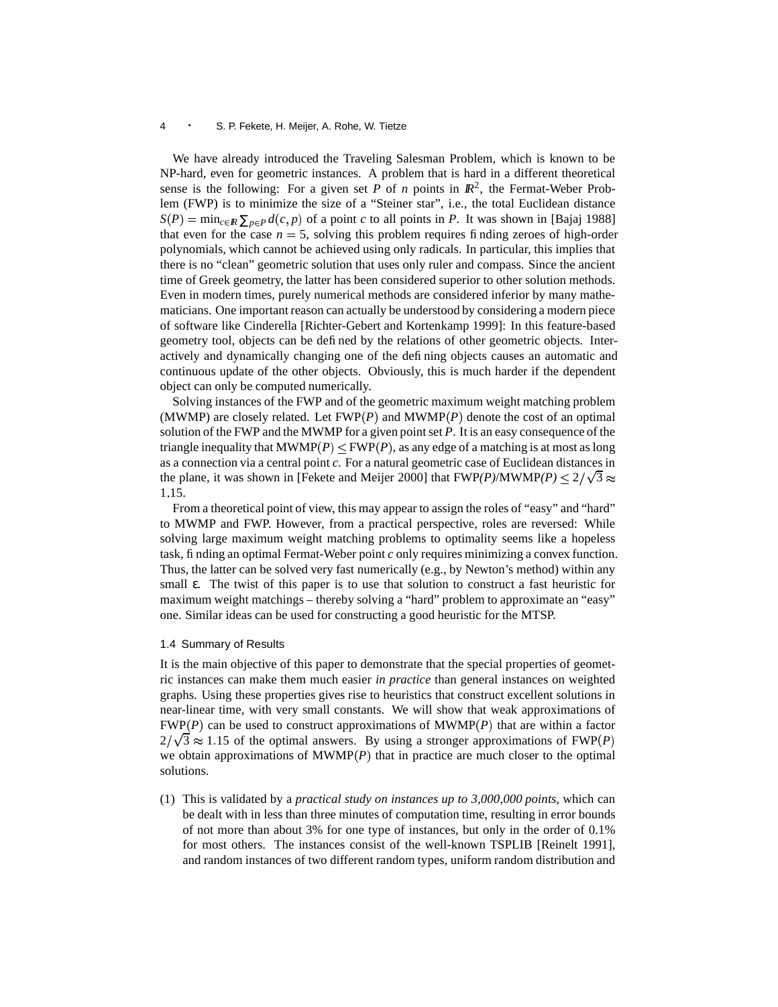We have already introduced the Traveling Salesman Problem, which is known to be NP-hard, even for geometric instances. A problem that is hard in a different theoretical sense is the following: For a given set *P* of *n* points in  $\mathbb{R}^2$ , the Fermat-Weber Problem (FWP) is to minimize the size of a "Steiner star", i.e., the total Euclidean distance  $S(P) = \min_{c \in \mathbb{R}} \sum_{p \in P} d(c, p)$  of a point *c* to all points in *P*. It was shown in [Bajaj 1988] that even for the case  $n = 5$ , solving this problem requires finding zeroes of high-order polynomials, which cannot be achieved using only radicals. In particular, this implies that there is no "clean" geometric solution that uses only ruler and compass. Since the ancient time of Greek geometry, the latter has been considered superior to other solution methods. Even in modern times, purely numerical methods are considered inferior by many mathematicians. One important reason can actually be understood by considering a modern piece of software like Cinderella [Richter-Gebert and Kortenkamp 1999]: In this feature-based geometry tool, objects can be defined by the relations of other geometric objects. Interactively and dynamically changing one of the defining objects causes an automatic and continuous update of the other objects. Obviously, this is much harder if the dependent object can only be computed numerically.

Solving instances of the FWP and of the geometric maximum weight matching problem (MWMP) are closely related. Let  $FWP(P)$  and  $MWMP(P)$  denote the cost of an optimal solution of the FWP and the MWMP for a given point set P. It is an easy consequence of the triangle inequality that  $\mathrm{MWMP}(P) \leq \mathrm{FWP}(P),$  as any edge of a matching is at most as long as a connection via a central point *c*. For a natural geometric case of Euclidean distances in the plane, it was shown in [Fekete and Meijer 2000] that  $FWP(P)/MWMP(P) \leq 2/\sqrt{3} \approx$ 1.15.

From a theoretical point of view, this may appear to assign the roles of "easy" and "hard" to MWMP and FWP. However, from a practical perspective, roles are reversed: While solving large maximum weight matching problems to optimality seems like a hopeless task, finding an optimal Fermat-Weber point *c* only requires minimizing a convex function. Thus, the latter can be solved very fast numerically (e.g., by Newton's method) within any small ε. The twist of this paper is to use that solution to construct a fast heuristic for maximum weight matchings – thereby solving a "hard" problem to approximate an "easy" one. Similar ideas can be used for constructing a good heuristic for the MTSP.

### 1.4 Summary of Results

It is the main objective of this paper to demonstrate that the special properties of geometric instances can make them much easier *in practice* than general instances on weighted graphs. Using these properties gives rise to heuristics that construct excellent solutions in near-linear time, with very small constants. We will show that weak approximations of  $FWP(P)$  can be used to construct approximations of  $MWMP(P)$  that are within a factor  $2/\sqrt{3} \approx 1.15$  of the optimal answers. By using a stronger approximations of FWP(P) we obtain approximations of  $MWMP(P)$  that in practice are much closer to the optimal solutions.

(1) This is validated by a *practical study on instances up to 3,000,000 points*, which can be dealt with in less than three minutes of computation time, resulting in error bounds of not more than about 3% for one type of instances, but only in the order of 0.1% for most others. The instances consist of the well-known TSPLIB [Reinelt 1991], and random instances of two different random types, uniform random distribution and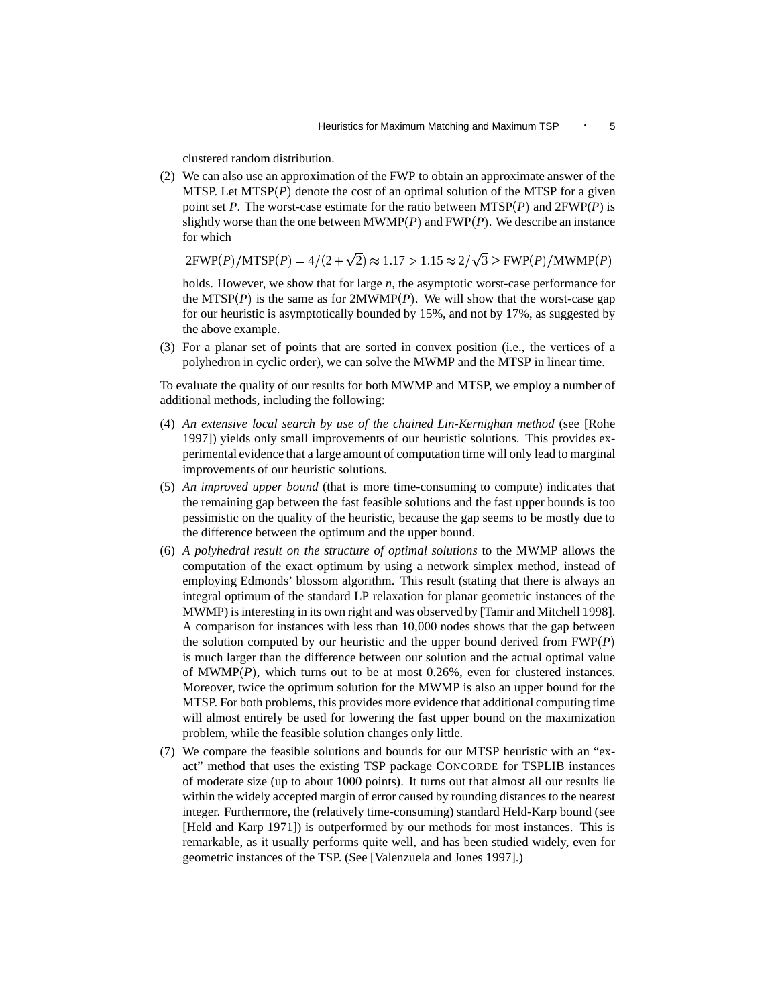clustered random distribution.

(2) We can also use an approximation of the FWP to obtain an approximate answer of the MTSP. Let  $MTSP(P)$  denote the cost of an optimal solution of the MTSP for a given point set *P*. The worst-case estimate for the ratio between  $MTSP(P)$  and  $2FWP(P)$  is slightly worse than the one between  $MWMP(P)$  and  $FWP(P)$ . We describe an instance for which

 $2 \text{FWP}(P)/\text{MTSP}(P) = 4/(2+\sqrt{2}) \approx 1.17 > 1.15 \approx 2/\sqrt{3} \ge \text{FWP}(P)/\text{MWMP}(P)$ 

holds. However, we show that for large *n*, the asymptotic worst-case performance for the MTSP $(P)$  is the same as for  $2MWMP(P)$ . We will show that the worst-case gap for our heuristic is asymptotically bounded by 15%, and not by 17%, as suggested by the above example.

(3) For a planar set of points that are sorted in convex position (i.e., the vertices of a polyhedron in cyclic order), we can solve the MWMP and the MTSP in linear time.

To evaluate the quality of our results for both MWMP and MTSP, we employ a number of additional methods, including the following:

- (4) *An extensive local search by use of the chained Lin-Kernighan method* (see [Rohe 1997]) yields only small improvements of our heuristic solutions. This provides experimental evidence that a large amount of computation time will only lead to marginal improvements of our heuristic solutions.
- (5) *An improved upper bound* (that is more time-consuming to compute) indicates that the remaining gap between the fast feasible solutions and the fast upper bounds is too pessimistic on the quality of the heuristic, because the gap seems to be mostly due to the difference between the optimum and the upper bound.
- (6) *A polyhedral result on the structure of optimal solutions* to the MWMP allows the computation of the exact optimum by using a network simplex method, instead of employing Edmonds' blossom algorithm. This result (stating that there is always an integral optimum of the standard LP relaxation for planar geometric instances of the MWMP) is interesting in its own right and was observed by [Tamir and Mitchell 1998]. A comparison for instances with less than 10,000 nodes shows that the gap between the solution computed by our heuristic and the upper bound derived from  $FWP(P)$ is much larger than the difference between our solution and the actual optimal value of  $MWMP(P)$ , which turns out to be at most 0.26%, even for clustered instances. Moreover, twice the optimum solution for the MWMP is also an upper bound for the MTSP. For both problems, this provides more evidence that additional computing time will almost entirely be used for lowering the fast upper bound on the maximization problem, while the feasible solution changes only little.
- (7) We compare the feasible solutions and bounds for our MTSP heuristic with an "exact" method that uses the existing TSP package CONCORDE for TSPLIB instances of moderate size (up to about 1000 points). It turns out that almost all our results lie within the widely accepted margin of error caused by rounding distances to the nearest integer. Furthermore, the (relatively time-consuming) standard Held-Karp bound (see [Held and Karp 1971]) is outperformed by our methods for most instances. This is remarkable, as it usually performs quite well, and has been studied widely, even for geometric instances of the TSP. (See [Valenzuela and Jones 1997].)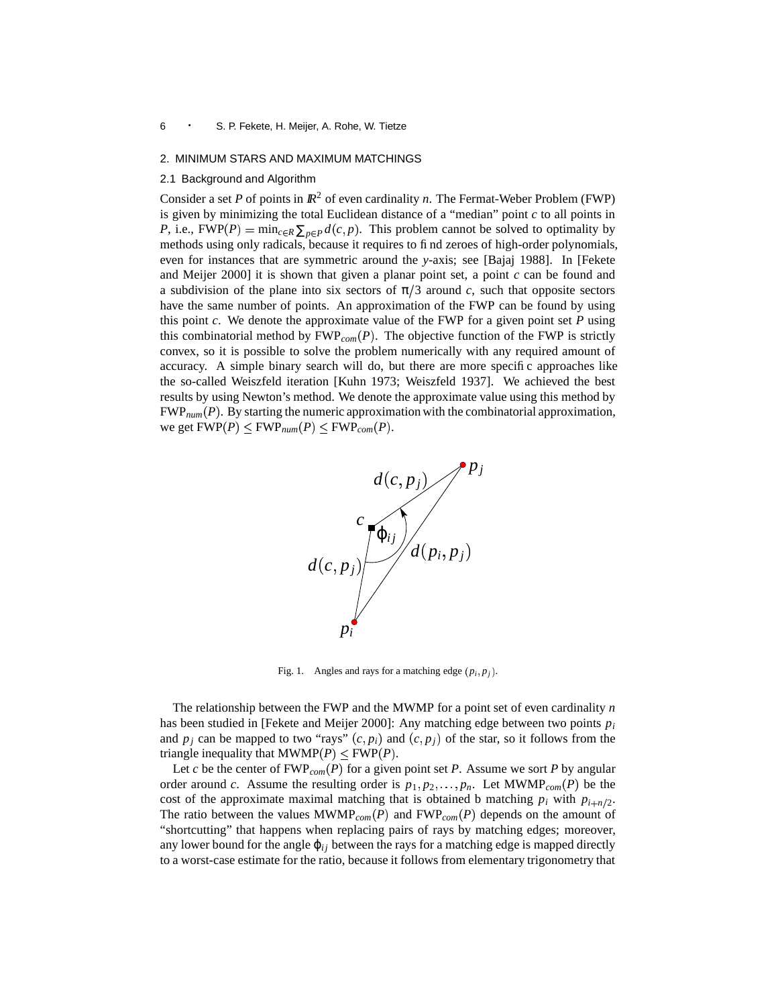#### 2. MINIMUM STARS AND MAXIMUM MATCHINGS

#### 2.1 Background and Algorithm

Consider a set *P* of points in  $\mathbb{R}^2$  of even cardinality *n*. The Fermat-Weber Problem (FWP) is given by minimizing the total Euclidean distance of a "median" point *c* to all points in *P*, i.e.,  $FWP(P) = \min_{c \in R} \sum_{p \in P} d(c, p)$ . This problem cannot be solved to optimality by methods using only radicals, because it requires to find zeroes of high-order polynomials, even for instances that are symmetric around the *y*-axis; see [Bajaj 1988]. In [Fekete and Meijer 2000] it is shown that given a planar point set, a point *c* can be found and a subdivision of the plane into six sectors of  $\pi/3$  around *c*, such that opposite sectors have the same number of points. An approximation of the FWP can be found by using this point *c*. We denote the approximate value of the FWP for a given point set *P* using this combinatorial method by  $FWP_{com}(P)$ . The objective function of the FWP is strictly convex, so it is possible to solve the problem numerically with any required amount of accuracy. A simple binary search will do, but there are more specific approaches like the so-called Weiszfeld iteration [Kuhn 1973; Weiszfeld 1937]. We achieved the best results by using Newton's method. We denote the approximate value using this method by  $FWP_{num}(P)$ . By starting the numeric approximation with the combinatorial approximation, we get  $FWP(P) \leq FWP_{num}(P) \leq FWP_{com}(P)$ .



Fig. 1. Angles and rays for a matching edge  $(p_i, p_j)$ .

The relationship between the FWP and the MWMP for a point set of even cardinality *n* has been studied in [Fekete and Meijer 2000]: Any matching edge between two points *p<sup>i</sup>* and  $p_j$  can be mapped to two "rays"  $(c, p_i)$  and  $(c, p_j)$  of the star, so it follows from the triangle inequality that  $\text{MWMP}(P) \leq \text{FWP}(P)$ .

Let *c* be the center of  $FWP_{com}(P)$  for a given point set *P*. Assume we sort *P* by angular order around *c*. Assume the resulting order is  $p_1, p_2, \ldots, p_n$ . Let MWMP<sub>com</sub>(P) be the cost of the approximate maximal matching that is obtained b matching  $p_i$  with  $p_{i+n/2}$ . The ratio between the values  $MWMP_{com}(P)$  and  $FWP_{com}(P)$  depends on the amount of "shortcutting" that happens when replacing pairs of rays by matching edges; moreover, any lower bound for the angle  $\varphi$ <sub>*i*</sub> between the rays for a matching edge is mapped directly to a worst-case estimate for the ratio, because it follows from elementary trigonometry that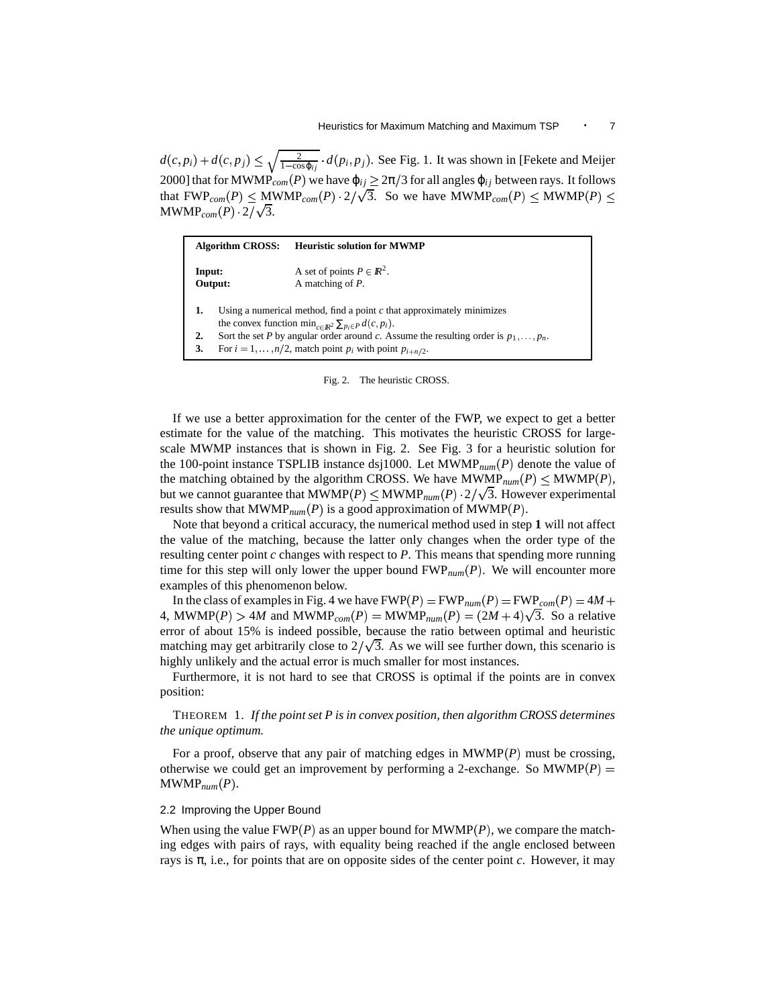$d(c, p_i) + d(c, p_j) \le \sqrt{\frac{2}{1 - \cos \varphi_{ij}}} \cdot d(p_i, p_j)$ . See Fig. 1. It was shown in [Fekete and Meijer 2000] that for MWMP<sub>com</sub> (P) we have  $\varphi_{ij} \geq 2\pi/3$  for all angles  $\varphi_{ij}$  between rays. It follows that  $FWP_{com}(P) \leq MWMP_{com}(P) \cdot 2/\sqrt{3}$ . So we have  $MWMP_{com}(P) \leq MWMP(P) \leq$  $\text{MWMP}_{\text{com}}(P) \cdot 2/\sqrt{3}.$ 

| <b>Algorithm CROSS:</b> | <b>Heuristic solution for MWMP</b>                                                                                                                                                                                                                                                                                         |  |  |  |
|-------------------------|----------------------------------------------------------------------------------------------------------------------------------------------------------------------------------------------------------------------------------------------------------------------------------------------------------------------------|--|--|--|
| Input:<br>Output:       | A set of points $P \in \mathbb{R}^2$ .<br>A matching of $P$ .                                                                                                                                                                                                                                                              |  |  |  |
| 1.<br>2.<br>3.          | Using a numerical method, find a point $c$ that approximately minimizes<br>the convex function $\min_{c \in \mathbb{R}^2} \sum_{p_i \in P} d(c, p_i)$ .<br>Sort the set P by angular order around c. Assume the resulting order is $p_1, \ldots, p_n$ .<br>For $i = 1, , n/2$ , match point $p_i$ with point $p_{i+n/2}$ . |  |  |  |

Fig. 2. The heuristic CROSS.

If we use a better approximation for the center of the FWP, we expect to get a better estimate for the value of the matching. This motivates the heuristic CROSS for largescale MWMP instances that is shown in Fig. 2. See Fig. 3 for a heuristic solution for the 100-point instance TSPLIB instance dsj1000. Let  $\text{MWMP}_{num}(P)$  denote the value of the matching obtained by the algorithm CROSS. We have  $MWMP_{num}(P) \leq MWMP(P)$ , but we cannot guarantee that  $\text{MWMP}(P) \leq \text{MWMP}_{\textit{num}}(P) \cdot 2/\sqrt{3}$ . However experimental results show that  $\text{MWMP}_{num}(P)$  is a good approximation of  $\text{MWMP}(P)$ .

Note that beyond a critical accuracy, the numerical method used in step **1** will not affect the value of the matching, because the latter only changes when the order type of the resulting center point *c* changes with respect to *P*. This means that spending more running time for this step will only lower the upper bound  $FWP_{num}(P)$ . We will encounter more examples of this phenomenon below.

In the class of examples in Fig. 4 we have  $FWP(P) = FWP_{num}(P) = FWP_{com}(P) = 4M +$ 4, MWMP(P) > 4*M* and MWMP<sub>com</sub>(P) = MWMP<sub>num</sub>(P) =  $(2M + 4)\sqrt{3}$ . So a relative error of about 15% is indeed possible, because the ratio between optimal and heuristic matching may get arbitrarily close to  $2/\sqrt{3}$ . As we will see further down, this scenario is highly unlikely and the actual error is much smaller for most instances.

Furthermore, it is not hard to see that CROSS is optimal if the points are in convex position:

THEOREM 1. *If the point set P is in convex position, then algorithm CROSS determines the unique optimum.*

For a proof, observe that any pair of matching edges in  $MWMP(P)$  must be crossing, otherwise we could get an improvement by performing a 2-exchange. So  $MWMP(P) =$  $\mathrm{MWMP}_{num}(P)$ .

### 2.2 Improving the Upper Bound

When using the value  $FWP(P)$  as an upper bound for  $MWMP(P)$ , we compare the matching edges with pairs of rays, with equality being reached if the angle enclosed between rays is  $\pi$ , i.e., for points that are on opposite sides of the center point *c*. However, it may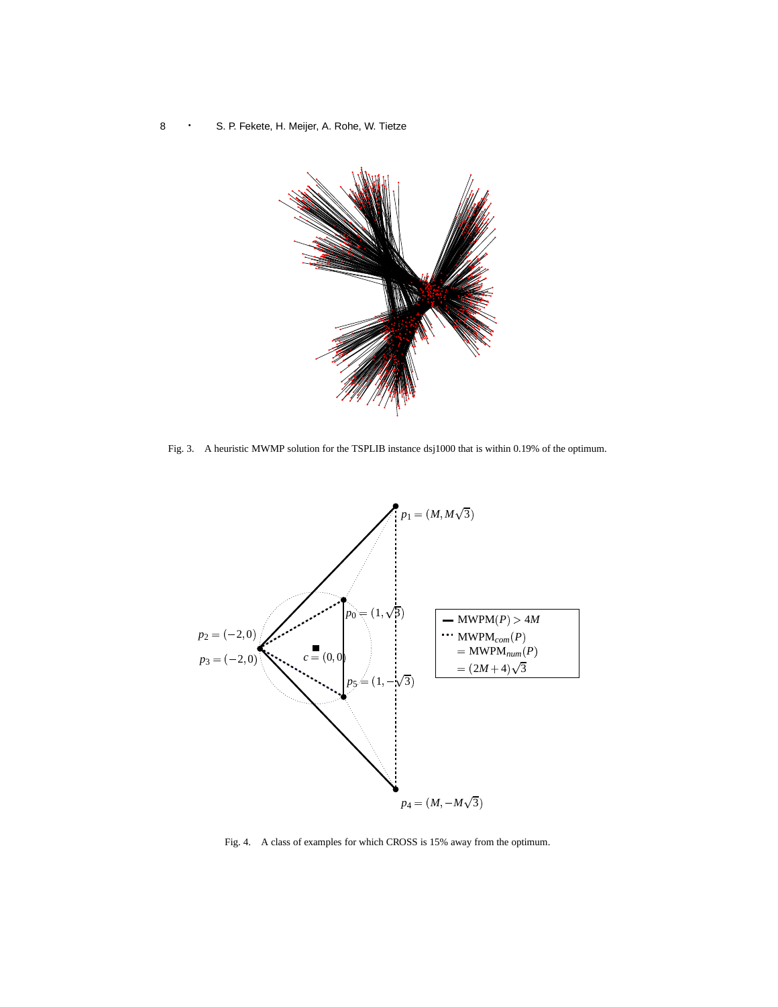8 S. P. Fekete, H. Meijer, A. Rohe, W. Tietze



Fig. 3. A heuristic MWMP solution for the TSPLIB instance dsj1000 that is within 0.19% of the optimum.



Fig. 4. A class of examples for which CROSS is 15% away from the optimum.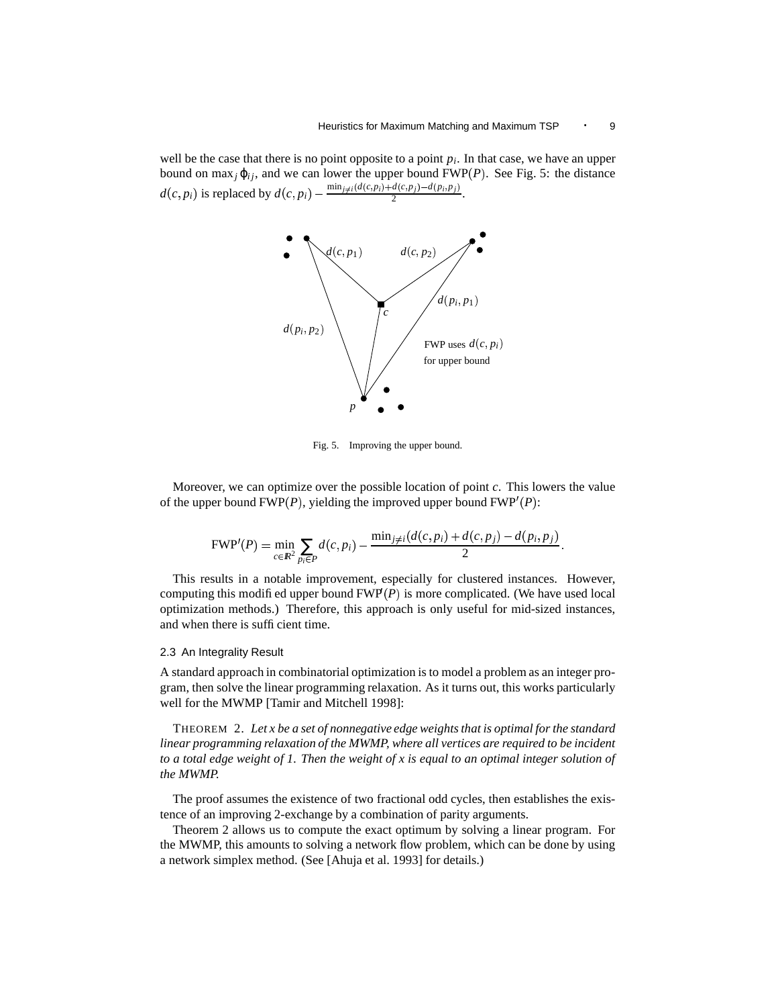well be the case that there is no point opposite to a point  $p_i$ . In that case, we have an upper bound on  $\max_j \varphi_{ij}$ , and we can lower the upper bound  $FWP(P)$ . See Fig. 5: the distance  $d(c, p_i)$  is replaced by  $d(c, p_i)$  $\min_{j \neq i} \left( d(c, p_i) + d(c, p_j) - d(p_i, p_j) \right)$ 2 .



Fig. 5. Improving the upper bound.

Moreover, we can optimize over the possible location of point *c*. This lowers the value of the upper bound  $FWP(P)$ , yielding the improved upper bound  $FWP'(P)$ :

$$
FWP'(P) = \min_{c \in \mathbb{R}^2} \sum_{p_i \in P} d(c, p_i) - \frac{\min_{j \neq i} (d(c, p_i) + d(c, p_j) - d(p_i, p_j))}{2}.
$$

This results in a notable improvement, especially for clustered instances. However, computing this modified upper bound  $\text{FWP}(P)$  is more complicated. (We have used local optimization methods.) Therefore, this approach is only useful for mid-sized instances, and when there is sufficient time.

#### 2.3 An Integrality Result

A standard approach in combinatorial optimization is to model a problem as an integer program, then solve the linear programming relaxation. As it turns out, this works particularly well for the MWMP [Tamir and Mitchell 1998]:

THEOREM 2. *Let x be a set of nonnegative edge weights that is optimal for the standard linear programming relaxation of the MWMP, where all vertices are required to be incident* to a total edge weight of 1. Then the weight of x is equal to an optimal integer solution of *the MWMP.*

The proof assumes the existence of two fractional odd cycles, then establishes the existence of an improving 2-exchange by a combination of parity arguments.

Theorem 2 allows us to compute the exact optimum by solving a linear program. For the MWMP, this amounts to solving a network flow problem, which can be done by using a network simplex method. (See [Ahuja et al. 1993] for details.)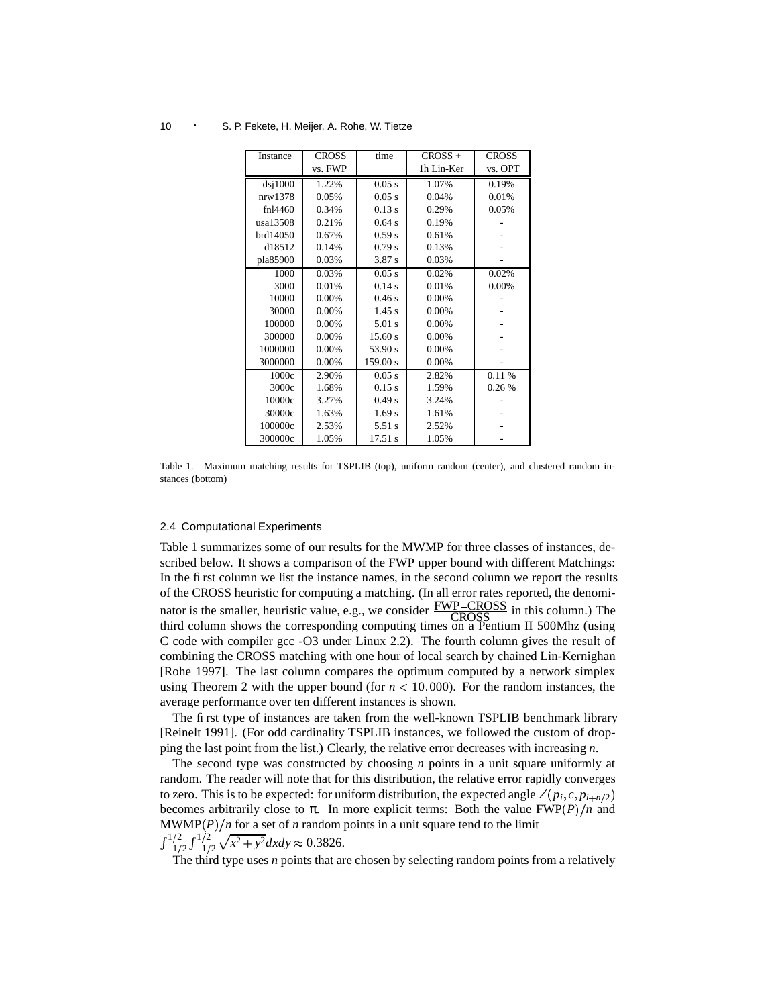| Instance | <b>CROSS</b> | time              | $CROSS +$  | <b>CROSS</b> |
|----------|--------------|-------------------|------------|--------------|
|          | vs. FWP      |                   | 1h Lin-Ker | vs. OPT      |
| dsj1000  | 1.22%        | $0.05$ s          | 1.07%      | 0.19%        |
| nrw1378  | 0.05%        | $0.05$ s          | 0.04%      | 0.01%        |
| fnl4460  | 0.34%        | $0.13$ s          | 0.29%      | 0.05%        |
| usa13508 | 0.21%        | 0.64 s            | 0.19%      |              |
| brd14050 | 0.67%        | 0.59 s            | 0.61%      |              |
| d18512   | 0.14%        | 0.79 s            | 0.13%      |              |
| pla85900 | 0.03%        | 3.87 s            | 0.03%      |              |
| 1000     | 0.03%        | $0.05$ s          | 0.02%      | 0.02%        |
| 3000     | 0.01%        | 0.14s             | 0.01%      | 0.00%        |
| 10000    | 0.00%        | 0.46 s            | 0.00%      |              |
| 30000    | 0.00%        | $1.45$ s          | 0.00%      |              |
| 100000   | 0.00%        | $5.01$ s          | 0.00%      |              |
| 300000   | 0.00%        | 15.60 s           | 0.00%      |              |
| 1000000  | 0.00%        | 53.90 s           | 0.00%      |              |
| 3000000  | 0.00%        | 159.00 s          | 0.00%      |              |
| 1000c    | 2.90%        | $0.05$ s          | 2.82%      | 0.11 %       |
| 3000c    | 1.68%        | $0.15$ s          | 1.59%      | 0.26 %       |
| 10000c   | 3.27%        | 0.49 s            | 3.24%      |              |
| 30000c   | 1.63%        | 1.69 <sub>s</sub> | 1.61%      |              |
| 100000c  | 2.53%        | 5.51 s            | 2.52%      |              |
| 300000c  | 1.05%        | 17.51 s           | 1.05%      |              |

Table 1. Maximum matching results for TSPLIB (top), uniform random (center), and clustered random instances (bottom)

#### 2.4 Computational Experiments

Table 1 summarizes some of our results for the MWMP for three classes of instances, described below. It shows a comparison of the FWP upper bound with different Matchings: In the first column we list the instance names, in the second column we report the results of the CROSS heuristic for computing a matching. (In all error rates reported, the denominator is the smaller, heuristic value, e.g., we consider  $\frac{FWP-CROSS}{CDOSS}$ nator is the smaller, heuristic value, e.g., we consider  $\frac{FWP - CKOSS}{CROSS}$  in this column.) The third column shows the corresponding computing times on a Pentium II 500Mhz (using C code with compiler gcc -O3 under Linux 2.2). The fourth column gives the result of combining the CROSS matching with one hour of local search by chained Lin-Kernighan [Rohe 1997]. The last column compares the optimum computed by a network simplex using Theorem 2 with the upper bound (for  $n < 10,000$ ). For the random instances, the average performance over ten different instances is shown.

The first type of instances are taken from the well-known TSPLIB benchmark library [Reinelt 1991]. (For odd cardinality TSPLIB instances, we followed the custom of dropping the last point from the list.) Clearly, the relative error decreases with increasing *n*.

The second type was constructed by choosing *n* points in a unit square uniformly at random. The reader will note that for this distribution, the relative error rapidly converges to zero. This is to be expected: for uniform distribution, the expected angle  $\angle(p_i, c, p_{i+n/2})$ becomes arbitrarily close to  $\pi$ . In more explicit terms: Both the value  $FWP(P)/n$  and  $\text{MWMP}(P)/n$  for a set of *n* random points in a unit square tend to the limit  $r^{1/2}$ 

.<sup>1</sup>/2<br>-1/2 J-1/  $\sqrt{x^2 + y^2}$  *dxdy*  $\approx 0.3826$ .

The third type uses *n* points that are chosen by selecting random points from a relatively

10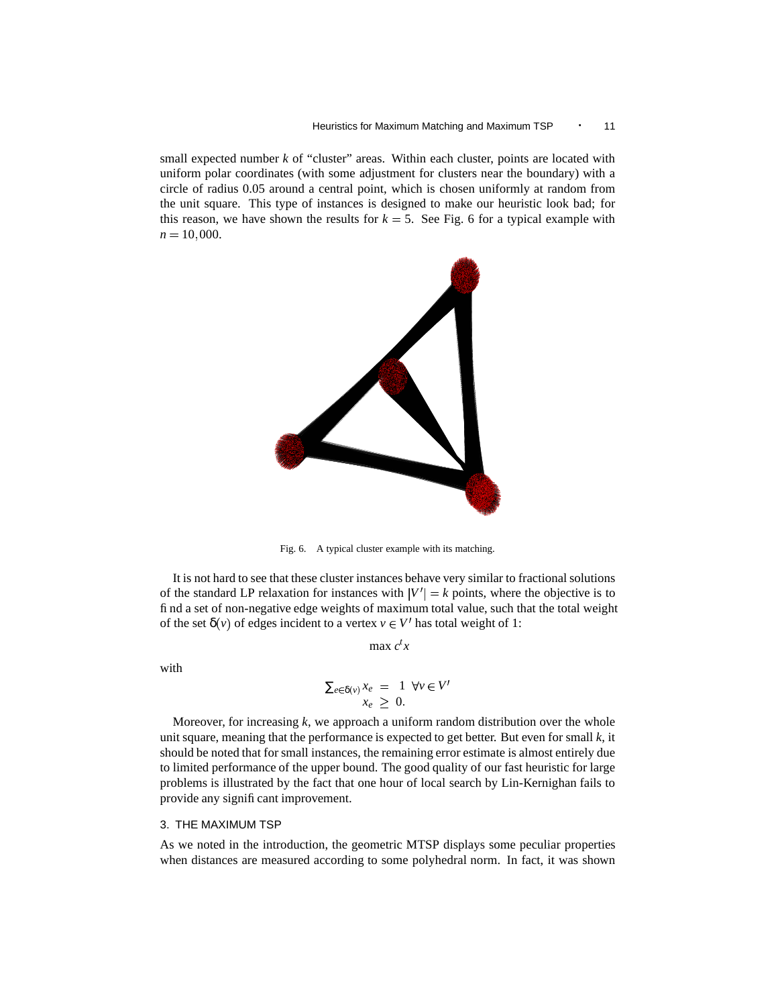small expected number *k* of "cluster" areas. Within each cluster, points are located with uniform polar coordinates (with some adjustment for clusters near the boundary) with a circle of radius 0.05 around a central point, which is chosen uniformly at random from the unit square. This type of instances is designed to make our heuristic look bad; for this reason, we have shown the results for  $k = 5$ . See Fig. 6 for a typical example with  $n = 10,000$ .



Fig. 6. A typical cluster example with its matching.

It is not hard to see that these cluster instances behave very similar to fractional solutions of the standard LP relaxation for instances with  $|V'| = k$  points, where the objective is to find a set of non-negative edge weights of maximum total value, such that the total weight of the set  $\delta(v)$  of edges incident to a vertex  $v \in V'$  has total weight of 1:

max  $c^t x$ 

with

$$
\sum_{e \in \delta(v)} x_e = 1 \quad \forall v \in V'
$$
  

$$
x_e \geq 0.
$$

Moreover, for increasing *k*, we approach a uniform random distribution over the whole unit square, meaning that the performance is expected to get better. But even for small *k*, it should be noted that for small instances, the remaining error estimate is almost entirely due to limited performance of the upper bound. The good quality of our fast heuristic for large problems is illustrated by the fact that one hour of local search by Lin-Kernighan fails to provide any significant improvement.

#### 3. THE MAXIMUM TSP

As we noted in the introduction, the geometric MTSP displays some peculiar properties when distances are measured according to some polyhedral norm. In fact, it was shown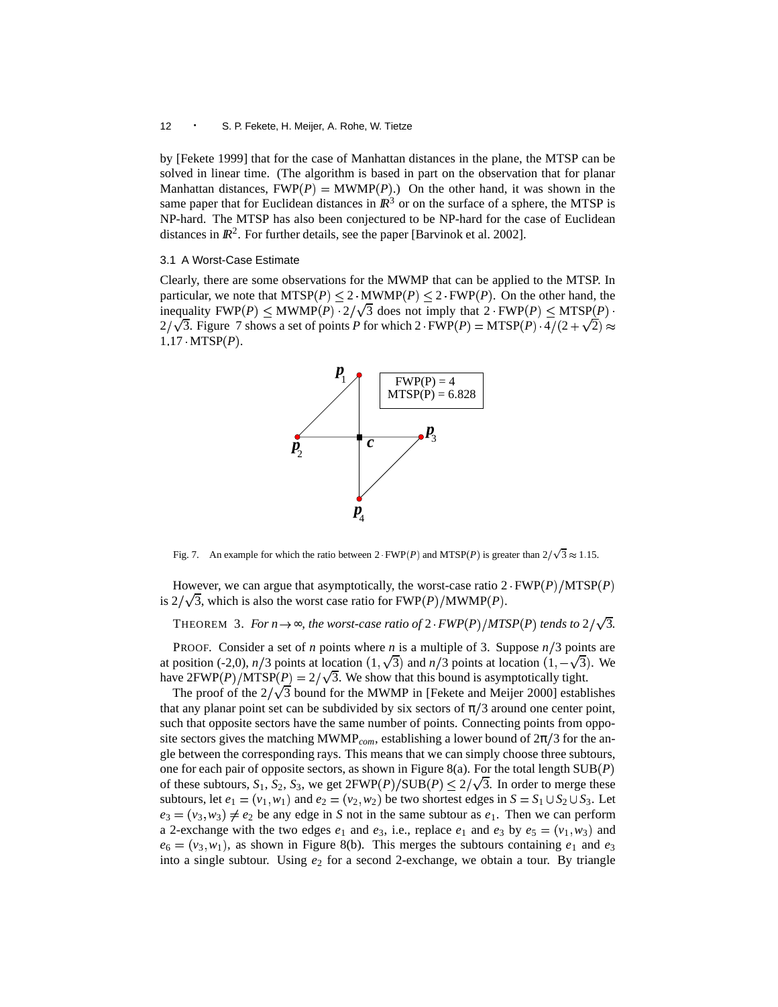by [Fekete 1999] that for the case of Manhattan distances in the plane, the MTSP can be solved in linear time. (The algorithm is based in part on the observation that for planar Manhattan distances,  $FWP(P) = MWMP(P)$ .) On the other hand, it was shown in the same paper that for Euclidean distances in  $\mathbb{R}^3$  or on the surface of a sphere, the MTSP is NP-hard. The MTSP has also been conjectured to be NP-hard for the case of Euclidean distances in  $\mathbb{R}^2$ . For further details, see the paper [Barvinok et al. 2002].

## 3.1 A Worst-Case Estimate

Clearly, there are some observations for the MWMP that can be applied to the MTSP. In particular, we note that  $MTSP(P) \leq 2 \cdot MWMP(P) \leq 2 \cdot FWP(P)$ . On the other hand, the inequality  $FWP(P) \leq MWMP(P) \cdot 2/\sqrt{3}$  does not imply that  $2 \cdot FWP(P) \leq MTSP(P) \cdot$  $2/\sqrt{3}$ . Figure 7 shows a set of points *P* for which 2  $\cdot$  FWP(*P*) = MTSP(*P*)  $\cdot$  4/(2 +  $\sqrt{2}$ )  $\approx$  $1.17$   $MTSP(P)$ .



Fig. 7. An example for which the ratio between 2  $\text{FWP}(P)$  and MTSP(P) is greater than  $2/\sqrt{3} \approx 1.15$ .

However, we can argue that asymptotically, the worst-case ratio  $2 \cdot FWP(P)/MTSP(P)$ is  $2/\sqrt{3}$ , which is also the worst case ratio for  $FWP(P)/MWMP(P)$ .

THEOREM 3. For  $n \rightarrow \infty$ , the worst-case ratio of 2  $\cdot$  FWP(P)/MTSP(P) tends to  $2/\sqrt{3}$ .

PROOF. Consider a set of *n* points where *n* is a multiple of 3. Suppose  $n/3$  points are at position (-2,0),  $n/3$  points at location  $(1, \sqrt{3})$  and  $n/3$  points at location  $(1, -\sqrt{3})$ . We have  $2FWP(P)/MTSP(P) = 2/\sqrt{3}$ . We show that this bound is asymptotically tight.

The proof of the  $2/\sqrt{3}$  bound for the MWMP in [Fekete and Meijer 2000] establishes that any planar point set can be subdivided by six sectors of  $\pi/3$  around one center point, such that opposite sectors have the same number of points. Connecting points from opposite sectors gives the matching MWMP<sub>com</sub>, establishing a lower bound of  $2\pi/3$  for the angle between the corresponding rays. This means that we can simply choose three subtours, one for each pair of opposite sectors, as shown in Figure 8(a). For the total length SUB *P*of these subtours,  $S_1$ ,  $S_2$ ,  $S_3$ , we get  $2FWP(P)/SUB(P) \leq 2/\sqrt{3}$ . In order to merge these subtours, let  $e_1 = (v_1, w_1)$  and  $e_2 = (v_2, w_2)$  be two shortest edges in  $S = S_1 \cup S_2 \cup S_3$ . Let  $e_3 = (v_3, w_3) \neq e_2$  be any edge in *S* not in the same subtour as  $e_1$ . Then we can perform a 2-exchange with the two edges  $e_1$  and  $e_3$ , i.e., replace  $e_1$  and  $e_3$  by  $e_5 = (v_1, w_3)$  and  $e_6 = (v_3, w_1)$ , as shown in Figure 8(b). This merges the subtours containing  $e_1$  and  $e_3$ into a single subtour. Using *e*<sup>2</sup> for a second 2-exchange, we obtain a tour. By triangle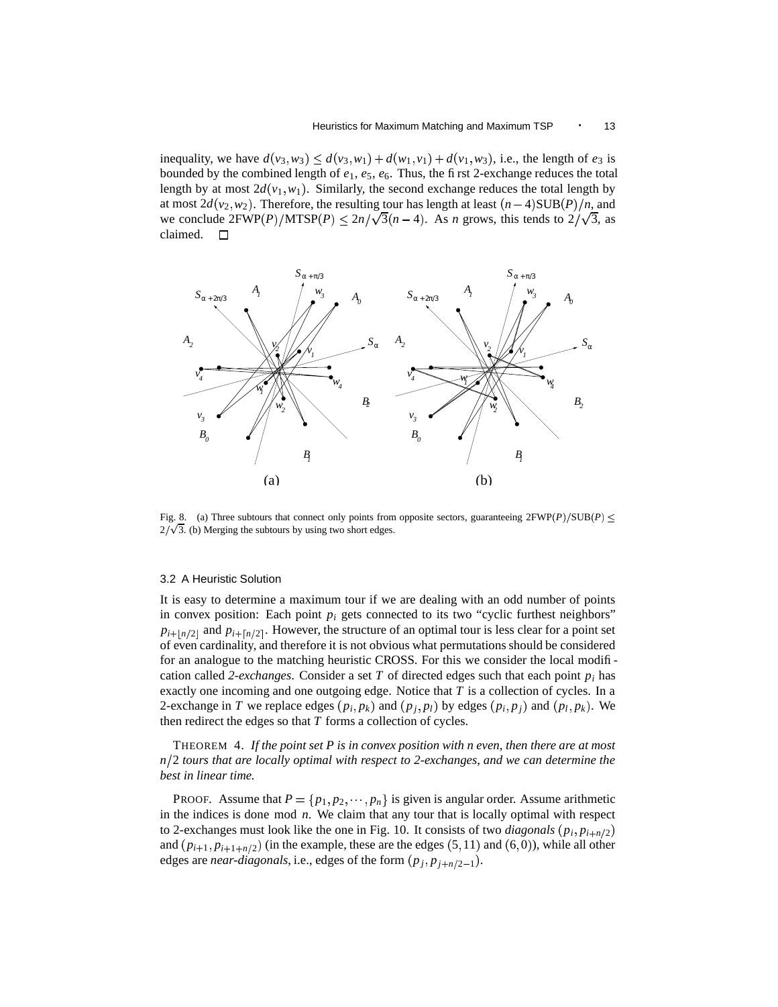inequality, we have  $d(v_3, w_3) \le d(v_3, w_1) + d(w_1, v_1) + d(v_1, w_3)$ , i.e., the length of  $e_3$  is bounded by the combined length of  $e_1$ ,  $e_5$ ,  $e_6$ . Thus, the first 2-exchange reduces the total length by at most  $2d(v_1, w_1)$ . Similarly, the second exchange reduces the total length by at most  $2d(v_2, w_2)$ . Therefore, the resulting tour has length at least  $(n-4)SUB(P)/n$ , and we conclude  $2FWP(P)/MTSP(P) \leq 2n/\sqrt{3}(n-4)$ . As *n* grows, this tends to  $2/\sqrt{3}$ , as claimed.  $\Box$ 



Fig. 8. (a) Three subtours that connect only points from opposite sectors, guaranteeing  $2FWP(P)/SUB(P) \leq$  $2/\sqrt{3}$ . (b) Merging the subtours by using two short edges.

#### 3.2 A Heuristic Solution

It is easy to determine a maximum tour if we are dealing with an odd number of points in convex position: Each point  $p_i$  gets connected to its two "cyclic furthest neighbors"  $p_{i+|n/2|}$  and  $p_{i+|n/2|}$ . However, the structure of an optimal tour is less clear for a point set of even cardinality, and therefore it is not obvious what permutations should be considered for an analogue to the matching heuristic CROSS. For this we consider the local modification called 2-exchanges. Consider a set  $T$  of directed edges such that each point  $p_i$  has exactly one incoming and one outgoing edge. Notice that *T* is a collection of cycles. In a 2-exchange in *T* we replace edges  $(p_i, p_k)$  and  $(p_j, p_l)$  by edges  $(p_i, p_j)$  and  $(p_l, p_k)$ . We then redirect the edges so that *T* forms a collection of cycles.

THEOREM 4. *If the point set P is in convex position with n even, then there are at most n* 2 *tours that are locally optimal with respect to 2-exchanges, and we can determine the best in linear time.*

PROOF. Assume that  $P = \{p_1, p_2, \dots, p_n\}$  is given is angular order. Assume arithmetic in the indices is done mod  $n$ . We claim that any tour that is locally optimal with respect to 2-exchanges must look like the one in Fig. 10. It consists of two *diagonals*  $(p_i, p_{i+n/2})$ and  $(p_{i+1}, p_{i+1+n/2})$  (in the example, these are the edges  $(5, 11)$  and  $(6, 0)$ ), while all other edges are *near-diagonals*, i.e., edges of the form  $(p_j, p_{j+n/2-1})$ .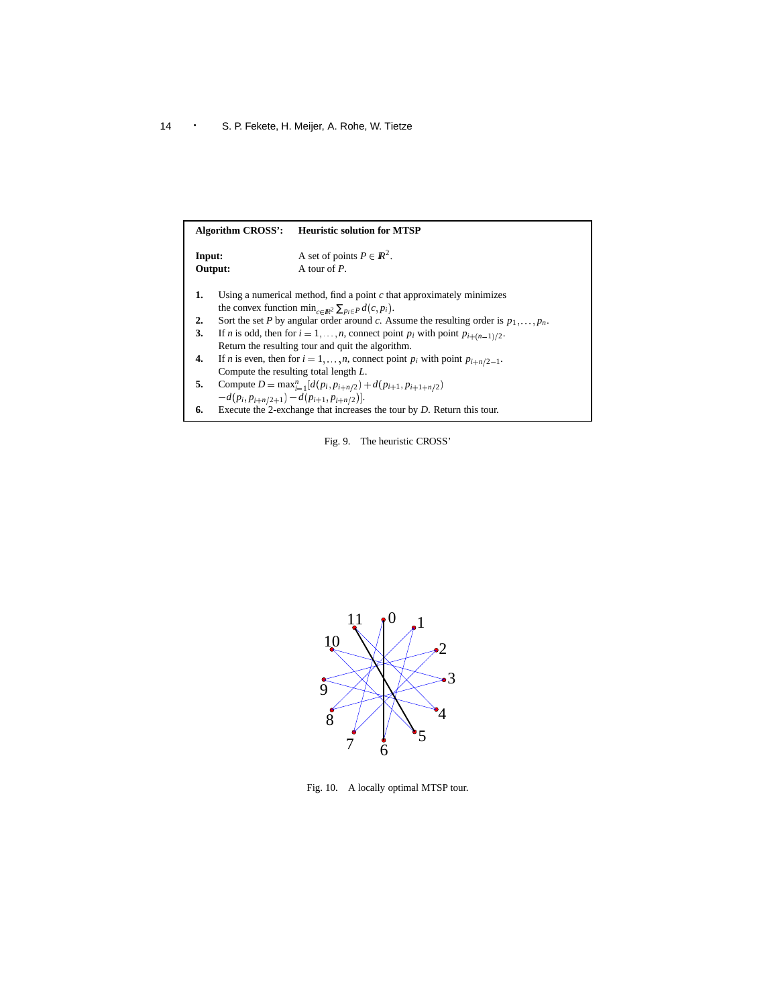| <b>Algorithm CROSS':</b> |                                                                                                                                                                              | <b>Heuristic solution for MTSP</b>     |  |  |  |  |
|--------------------------|------------------------------------------------------------------------------------------------------------------------------------------------------------------------------|----------------------------------------|--|--|--|--|
| Input:                   |                                                                                                                                                                              | A set of points $P \in \mathbb{R}^2$ . |  |  |  |  |
|                          | Output:                                                                                                                                                                      | A tour of $P$ .                        |  |  |  |  |
| 1.                       | Using a numerical method, find a point $c$ that approximately minimizes                                                                                                      |                                        |  |  |  |  |
| 2.                       | the convex function $\min_{c \in \mathbb{R}^2} \sum_{p_i \in P} d(c, p_i)$ .<br>Sort the set P by angular order around c. Assume the resulting order is $p_1, \ldots, p_n$ . |                                        |  |  |  |  |
| 3.                       | If <i>n</i> is odd, then for $i = 1, , n$ , connect point $p_i$ with point $p_{i+(n-1)/2}$ .                                                                                 |                                        |  |  |  |  |
|                          | Return the resulting tour and quit the algorithm.                                                                                                                            |                                        |  |  |  |  |
| 4.                       | If <i>n</i> is even, then for $i = 1, , n$ , connect point $p_i$ with point $p_{i+n/2-1}$ .                                                                                  |                                        |  |  |  |  |
|                          | Compute the resulting total length L.                                                                                                                                        |                                        |  |  |  |  |
| 5.                       | Compute $D = \max_{i=1}^{n} [d(p_i, p_{i+n/2}) + d(p_{i+1}, p_{i+1+n/2})]$                                                                                                   |                                        |  |  |  |  |
|                          | $-d(p_i, p_{i+n/2+1})-d(p_{i+1}, p_{i+n/2})$ .                                                                                                                               |                                        |  |  |  |  |
| 6.                       | Execute the 2-exchange that increases the tour by $D$ . Return this tour.                                                                                                    |                                        |  |  |  |  |

Fig. 9. The heuristic CROSS'



Fig. 10. A locally optimal MTSP tour.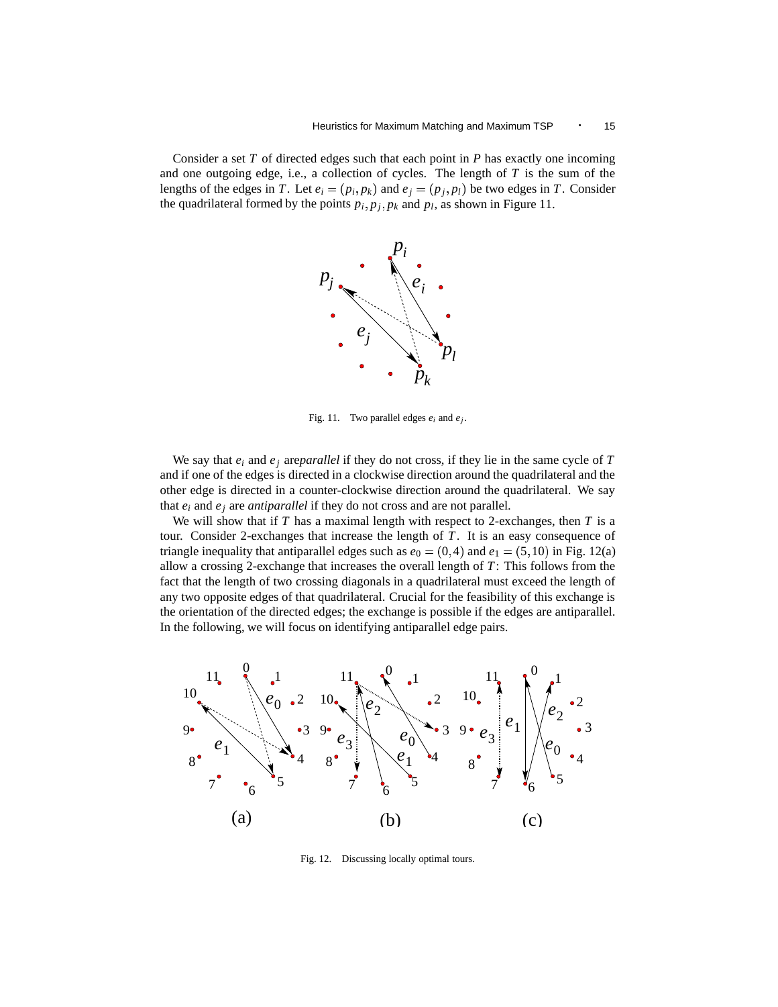Consider a set *T* of directed edges such that each point in *P* has exactly one incoming and one outgoing edge, i.e., a collection of cycles. The length of *T* is the sum of the lengths of the edges in *T*. Let  $e_i = (p_i, p_k)$  and  $e_j = (p_j, p_l)$  be two edges in *T*. Consider the quadrilateral formed by the points  $p_i, p_j, p_k$  and  $p_l$ , as shown in Figure 11.



Fig. 11. Two parallel edges *e<sup>i</sup>* and *e<sup>j</sup>* .

We say that  $e_i$  and  $e_j$  are*parallel* if they do not cross, if they lie in the same cycle of  $T$ and if one of the edges is directed in a clockwise direction around the quadrilateral and the other edge is directed in a counter-clockwise direction around the quadrilateral. We say that  $e_i$  and  $e_j$  are *antiparallel* if they do not cross and are not parallel.

We will show that if *T* has a maximal length with respect to 2-exchanges, then *T* is a tour. Consider 2-exchanges that increase the length of *T*. It is an easy consequence of triangle inequality that antiparallel edges such as  $e_0 = (0, 4)$  and  $e_1 = (5, 10)$  in Fig. 12(a) allow a crossing 2-exchange that increases the overall length of *T*: This follows from the fact that the length of two crossing diagonals in a quadrilateral must exceed the length of any two opposite edges of that quadrilateral. Crucial for the feasibility of this exchange is the orientation of the directed edges; the exchange is possible if the edges are antiparallel. In the following, we will focus on identifying antiparallel edge pairs.



Fig. 12. Discussing locally optimal tours.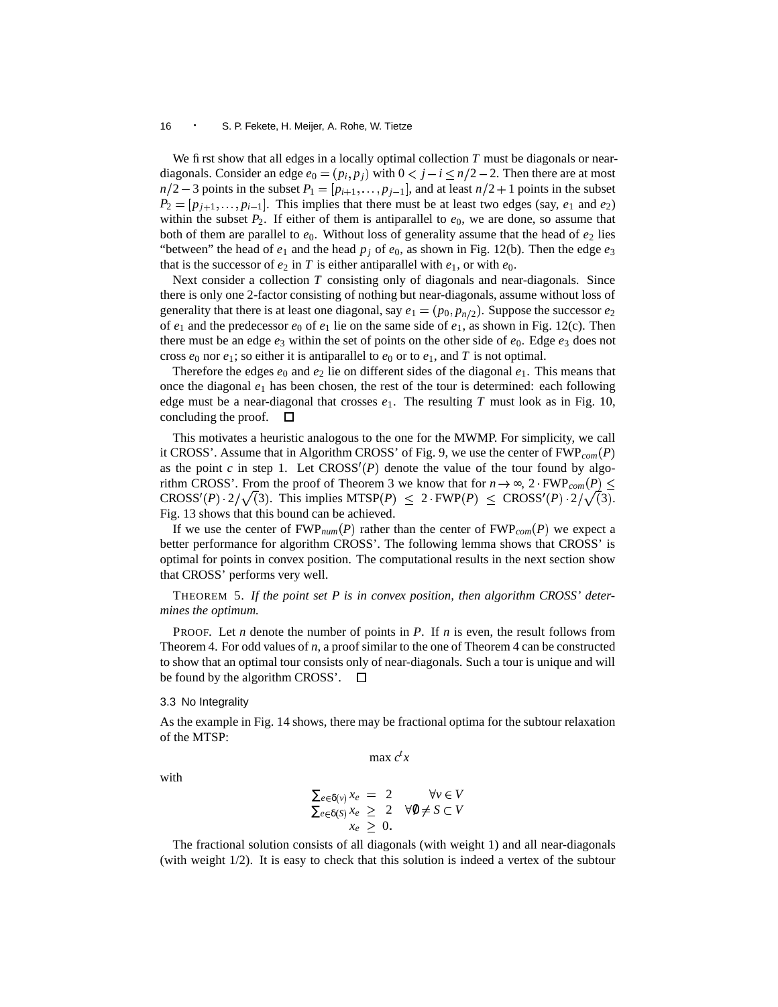We first show that all edges in a locally optimal collection *T* must be diagonals or neardiagonals. Consider an edge  $e_0 = (p_i, p_j)$  with  $0 < j - i \leq n/2 - 2$ . Then there are at most  $n/2-3$  points in the subset  $P_1 = [p_{i+1}, \ldots, p_{j-1}]$ , and at least  $n/2+1$  points in the subset  $P_2 = [p_{j+1}, \ldots, p_{i-1}]$ . This implies that there must be at least two edges (say,  $e_1$  and  $e_2$ ) within the subset  $P_2$ . If either of them is antiparallel to  $e_0$ , we are done, so assume that both of them are parallel to  $e_0$ . Without loss of generality assume that the head of  $e_2$  lies "between" the head of  $e_1$  and the head  $p_j$  of  $e_0$ , as shown in Fig. 12(b). Then the edge  $e_3$ that is the successor of  $e_2$  in *T* is either antiparallel with  $e_1$ , or with  $e_0$ .

Next consider a collection *T* consisting only of diagonals and near-diagonals. Since there is only one 2-factor consisting of nothing but near-diagonals, assume without loss of generality that there is at least one diagonal, say  $e_1 = (p_0, p_{n/2})$ . Suppose the successor  $e_2$ of  $e_1$  and the predecessor  $e_0$  of  $e_1$  lie on the same side of  $e_1$ , as shown in Fig. 12(c). Then there must be an edge *e*<sup>3</sup> within the set of points on the other side of *e*0. Edge *e*<sup>3</sup> does not cross  $e_0$  nor  $e_1$ ; so either it is antiparallel to  $e_0$  or to  $e_1$ , and  $T$  is not optimal.

Therefore the edges  $e_0$  and  $e_2$  lie on different sides of the diagonal  $e_1$ . This means that once the diagonal  $e_1$  has been chosen, the rest of the tour is determined: each following edge must be a near-diagonal that crosses  $e_1$ . The resulting T must look as in Fig. 10, concluding the proof.  $\Box$ 

This motivates a heuristic analogous to the one for the MWMP. For simplicity, we call it CROSS'. Assume that in Algorithm CROSS' of Fig. 9, we use the center of  $FWP_{com}(P)$ as the point  $c$  in step 1. Let  $CROS<sup>'</sup>(P)$  denote the value of the tour found by algorithm CROSS'. From the proof of Theorem 3 we know that for  $n \to \infty$ , 2  $FWP_{com}(P) \le$  $CROSS'(P) \cdot 2/\sqrt{3}$ . This implies  $MTSP(P) \leq 2 \cdot FWP(P) \leq CROSS'(P) \cdot 2/\sqrt{3}$ . Fig. 13 shows that this bound can be achieved.

If we use the center of  $FWP_{num}(P)$  rather than the center of  $FWP_{com}(P)$  we expect a better performance for algorithm CROSS'. The following lemma shows that CROSS' is optimal for points in convex position. The computational results in the next section show that CROSS' performs very well.

THEOREM 5. *If the point set P is in convex position, then algorithm CROSS' determines the optimum.*

PROOF. Let *n* denote the number of points in *P*. If *n* is even, the result follows from Theorem 4. For odd values of *n*, a proof similar to the one of Theorem 4 can be constructed to show that an optimal tour consists only of near-diagonals. Such a tour is unique and will be found by the algorithm CROSS'.  $\Box$ 

#### 3.3 No Integrality

As the example in Fig. 14 shows, there may be fractional optima for the subtour relaxation of the MTSP:

$$
\max c^t x
$$

with

$$
\begin{array}{rcl}\n\Sigma_{e \in \delta(v)} x_e &=& 2 & \forall v \in V \\
\Sigma_{e \in \delta(S)} x_e & \geq & 2 & \forall \emptyset \neq S \subset V \\
x_e & \geq & 0.\n\end{array}
$$

The fractional solution consists of all diagonals (with weight 1) and all near-diagonals (with weight 1/2). It is easy to check that this solution is indeed a vertex of the subtour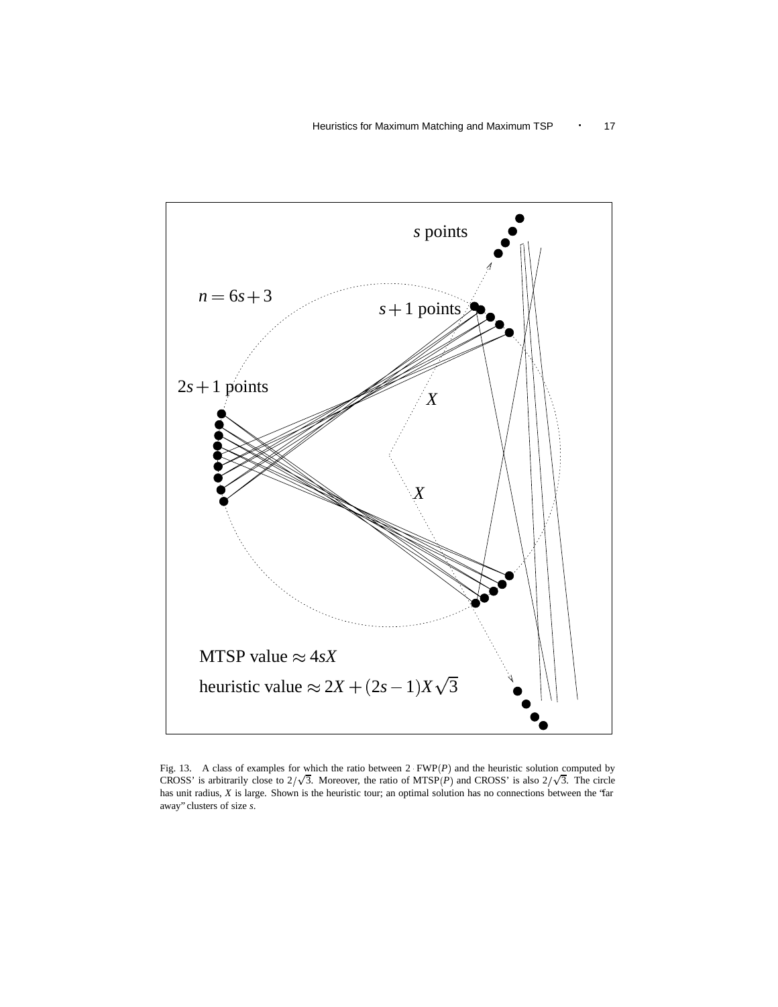

Fig. 13. A class of examples for which the ratio between  $2 \cdot FWP(P)$  and the heuristic solution computed by CROSS' is arbitrarily close to  $2/\sqrt{3}$ . Moreover, the ratio of MTSP(*P*) and CROSS' is also  $2/\sqrt{3}$ . The circle has unit radius, *X* is large. Shown is the heuristic tour; an optimal solution has no connections between the "far away" clusters of size *s*.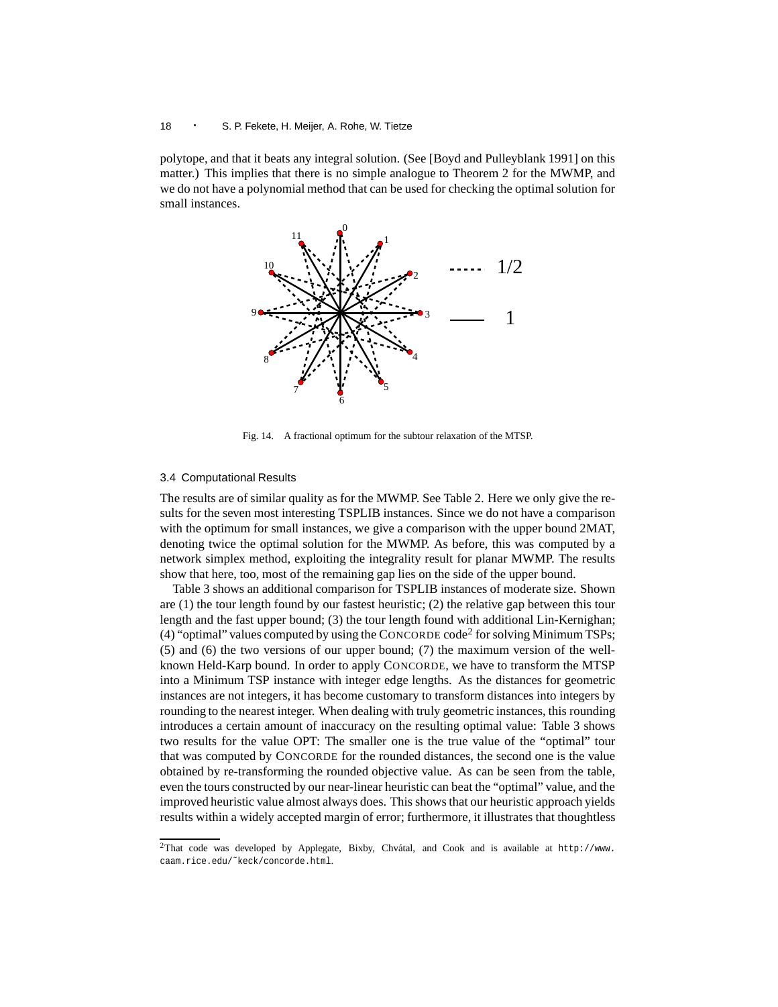polytope, and that it beats any integral solution. (See [Boyd and Pulleyblank 1991] on this matter.) This implies that there is no simple analogue to Theorem 2 for the MWMP, and we do not have a polynomial method that can be used for checking the optimal solution for small instances.



Fig. 14. A fractional optimum for the subtour relaxation of the MTSP.

### 3.4 Computational Results

The results are of similar quality as for the MWMP. See Table 2. Here we only give the results for the seven most interesting TSPLIB instances. Since we do not have a comparison with the optimum for small instances, we give a comparison with the upper bound 2MAT, denoting twice the optimal solution for the MWMP. As before, this was computed by a network simplex method, exploiting the integrality result for planar MWMP. The results show that here, too, most of the remaining gap lies on the side of the upper bound.

Table 3 shows an additional comparison for TSPLIB instances of moderate size. Shown are (1) the tour length found by our fastest heuristic; (2) the relative gap between this tour length and the fast upper bound; (3) the tour length found with additional Lin-Kernighan; (4) "optimal" values computed by using the CONCORDE code<sup>2</sup> for solving Minimum TSPs; (5) and (6) the two versions of our upper bound; (7) the maximum version of the wellknown Held-Karp bound. In order to apply CONCORDE, we have to transform the MTSP into a Minimum TSP instance with integer edge lengths. As the distances for geometric instances are not integers, it has become customary to transform distances into integers by rounding to the nearest integer. When dealing with truly geometric instances, this rounding introduces a certain amount of inaccuracy on the resulting optimal value: Table 3 shows two results for the value OPT: The smaller one is the true value of the "optimal" tour that was computed by CONCORDE for the rounded distances, the second one is the value obtained by re-transforming the rounded objective value. As can be seen from the table, even the tours constructed by our near-linear heuristic can beat the "optimal" value, and the improved heuristic value almost always does. This shows that our heuristic approach yields results within a widely accepted margin of error; furthermore, it illustrates that thoughtless

 $2$ That code was developed by Applegate, Bixby, Chvátal, and Cook and is available at http://www. caam.rice.edu/˜keck/concorde.html.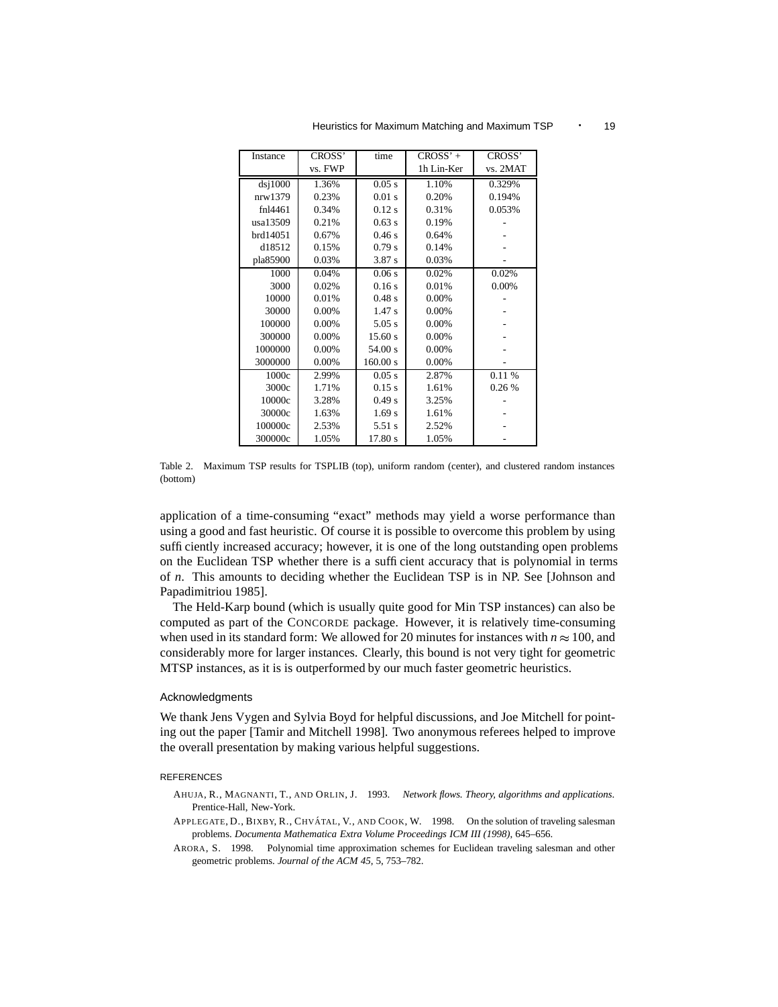| Instance | CROSS'  | $CROS' +$<br>time |            | CROSS'   |  |
|----------|---------|-------------------|------------|----------|--|
|          | vs. FWP |                   | 1h Lin-Ker | vs. 2MAT |  |
| dsj1000  | 1.36%   | $0.05$ s          | 1.10%      | 0.329%   |  |
| nrw1379  | 0.23%   | $0.01$ s          | 0.20%      | 0.194%   |  |
| fnl4461  | 0.34%   | $0.12$ s          | 0.31%      | 0.053%   |  |
| usa13509 | 0.21%   | $0.63$ s          | 0.19%      |          |  |
| brd14051 | 0.67%   | 0.46s             | 0.64%      |          |  |
| d18512   | 0.15%   | 0.79 s            | 0.14%      |          |  |
| pla85900 | 0.03%   | 3.87 s            | 0.03%      |          |  |
| 1000     | 0.04%   | 0.06 s            | 0.02%      | 0.02%    |  |
| 3000     | 0.02%   | 0.16s             | 0.01%      | 0.00%    |  |
| 10000    | 0.01%   | 0.48 s            | 0.00%      |          |  |
| 30000    | 0.00%   | 1.47 s            | 0.00%      |          |  |
| 100000   | 0.00%   | $5.05$ s          | 0.00%      |          |  |
| 300000   | 0.00%   | 15.60 s           | 0.00%      |          |  |
| 1000000  | 0.00%   | 54.00 s           | 0.00%      |          |  |
| 3000000  | 0.00%   | 160.00 s          | 0.00%      |          |  |
| 1000c    | 2.99%   | $0.05$ s          | 2.87%      | 0.11 %   |  |
| 3000c    | 1.71%   | $0.15$ s          | 1.61%      | 0.26%    |  |
| 10000c   | 3.28%   | 0.49 s            | 3.25%      |          |  |
| 30000c   | 1.63%   | 1.69 <sub>s</sub> | 1.61%      |          |  |
| 100000c  | 2.53%   | 5.51 s            | 2.52%      |          |  |
| 300000c  | 1.05%   | 17.80 s           | 1.05%      |          |  |

Table 2. Maximum TSP results for TSPLIB (top), uniform random (center), and clustered random instances (bottom)

application of a time-consuming "exact" methods may yield a worse performance than using a good and fast heuristic. Of course it is possible to overcome this problem by using sufficiently increased accuracy; however, it is one of the long outstanding open problems on the Euclidean TSP whether there is a sufficient accuracy that is polynomial in terms of *n*. This amounts to deciding whether the Euclidean TSP is in NP. See [Johnson and Papadimitriou 1985].

The Held-Karp bound (which is usually quite good for Min TSP instances) can also be computed as part of the CONCORDE package. However, it is relatively time-consuming when used in its standard form: We allowed for 20 minutes for instances with  $n \approx 100$ , and considerably more for larger instances. Clearly, this bound is not very tight for geometric MTSP instances, as it is is outperformed by our much faster geometric heuristics.

#### Acknowledgments

We thank Jens Vygen and Sylvia Boyd for helpful discussions, and Joe Mitchell for pointing out the paper [Tamir and Mitchell 1998]. Two anonymous referees helped to improve the overall presentation by making various helpful suggestions.

### REFERENCES

- AHUJA, R., MAGNANTI, T., AND ORLIN, J. 1993. *Network flows. Theory, algorithms and applications*. Prentice-Hall, New-York.
- APPLEGATE, D., BIXBY, R., CHVÁTAL, V., AND COOK, W. 1998. On the solution of traveling salesman problems. *Documenta Mathematica Extra Volume Proceedings ICM III (1998)*, 645–656.
- ARORA, S. 1998. Polynomial time approximation schemes for Euclidean traveling salesman and other geometric problems. *Journal of the ACM 45*, 5, 753–782.

19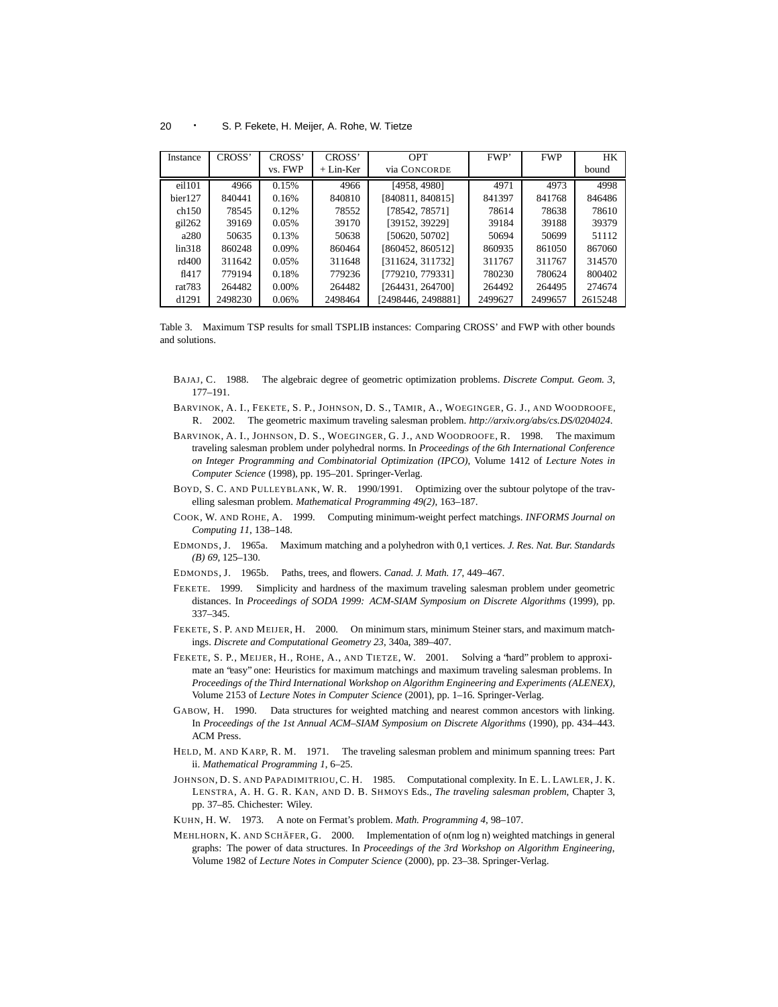| Instance  | CROSS'  | CROSS'   | CROSS'      | <b>OPT</b>         | FWP'    | <b>FWP</b> | <b>HK</b> |
|-----------|---------|----------|-------------|--------------------|---------|------------|-----------|
|           |         | vs. FWP  | $+$ Lin-Ker | via CONCORDE       |         |            | bound     |
| ei1101    | 4966    | 0.15%    | 4966        | [4958, 4980]       | 4971    | 4973       | 4998      |
| bier127   | 840441  | 0.16%    | 840810      | [840811, 840815]   | 841397  | 841768     | 846486    |
| ch150     | 78545   | 0.12%    | 78552       | [78542, 78571]     | 78614   | 78638      | 78610     |
| gil262    | 39169   | 0.05%    | 39170       | [39152, 39229]     | 39184   | 39188      | 39379     |
| a280      | 50635   | 0.13%    | 50638       | [50620, 50702]     | 50694   | 50699      | 51112     |
| lin318    | 860248  | 0.09%    | 860464      | [860452, 860512]   | 860935  | 861050     | 867060    |
| rd400     | 311642  | 0.05%    | 311648      | [311624, 311732]   | 311767  | 311767     | 314570    |
| f1417     | 779194  | 0.18%    | 779236      | [779210, 779331]   | 780230  | 780624     | 800402    |
| rat $783$ | 264482  | $0.00\%$ | 264482      | [264431, 264700]   | 264492  | 264495     | 274674    |
| d1291     | 2498230 | 0.06%    | 2498464     | [2498446, 2498881] | 2499627 | 2499657    | 2615248   |

Table 3. Maximum TSP results for small TSPLIB instances: Comparing CROSS' and FWP with other bounds and solutions.

- BAJAJ, C. 1988. The algebraic degree of geometric optimization problems. *Discrete Comput. Geom. 3*, 177–191.
- BARVINOK, A. I., FEKETE, S. P., JOHNSON, D. S., TAMIR, A., WOEGINGER, G. J., AND WOODROOFE, R. 2002. The geometric maximum traveling salesman problem. *http://arxiv.org/abs/cs.DS/0204024*.
- BARVINOK, A. I., JOHNSON, D. S., WOEGINGER, G. J., AND WOODROOFE, R. 1998. The maximum traveling salesman problem under polyhedral norms. In *Proceedings of the 6th International Conference on Integer Programming and Combinatorial Optimization (IPCO)*, Volume 1412 of *Lecture Notes in Computer Science* (1998), pp. 195–201. Springer-Verlag.
- BOYD, S. C. AND PULLEYBLANK, W. R. 1990/1991. Optimizing over the subtour polytope of the travelling salesman problem. *Mathematical Programming 49(2)*, 163–187.
- COOK, W. AND ROHE, A. 1999. Computing minimum-weight perfect matchings. *INFORMS Journal on Computing 11*, 138–148.
- EDMONDS, J. 1965a. Maximum matching and a polyhedron with 0,1 vertices. *J. Res. Nat. Bur. Standards (B) 69*, 125–130.
- EDMONDS, J. 1965b. Paths, trees, and flowers. *Canad. J. Math. 17*, 449–467.
- FEKETE. 1999. Simplicity and hardness of the maximum traveling salesman problem under geometric distances. In *Proceedings of SODA 1999: ACM-SIAM Symposium on Discrete Algorithms* (1999), pp. 337–345.
- FEKETE, S. P. AND MEIJER, H. 2000. On minimum stars, minimum Steiner stars, and maximum matchings. *Discrete and Computational Geometry 23*, 340a, 389–407.
- FEKETE, S. P., MEIJER, H., ROHE, A., AND TIETZE, W. 2001. Solving a "hard" problem to approximate an "easy" one: Heuristics for maximum matchings and maximum traveling salesman problems. In *Proceedings of the Third International Workshop on Algorithm Engineering and Experiments (ALENEX)*, Volume 2153 of *Lecture Notes in Computer Science* (2001), pp. 1–16. Springer-Verlag.
- GABOW, H. 1990. Data structures for weighted matching and nearest common ancestors with linking. In *Proceedings of the 1st Annual ACM–SIAM Symposium on Discrete Algorithms* (1990), pp. 434–443. ACM Press.
- HELD, M. AND KARP, R. M. 1971. The traveling salesman problem and minimum spanning trees: Part ii. *Mathematical Programming 1*, 6–25.
- JOHNSON, D. S. AND PAPADIMITRIOU, C. H. 1985. Computational complexity. In E. L. LAWLER, J. K. LENSTRA, A. H. G. R. KAN, AND D. B. SHMOYS Eds., *The traveling salesman problem*, Chapter 3, pp. 37–85. Chichester: Wiley.
- KUHN, H. W. 1973. A note on Fermat's problem. *Math. Programming 4*, 98–107.
- MEHLHORN, K. AND SCHÄFER, G. 2000. Implementation of  $o(nm \log n)$  weighted matchings in general graphs: The power of data structures. In *Proceedings of the 3rd Workshop on Algorithm Engineering*, Volume 1982 of *Lecture Notes in Computer Science* (2000), pp. 23–38. Springer-Verlag.